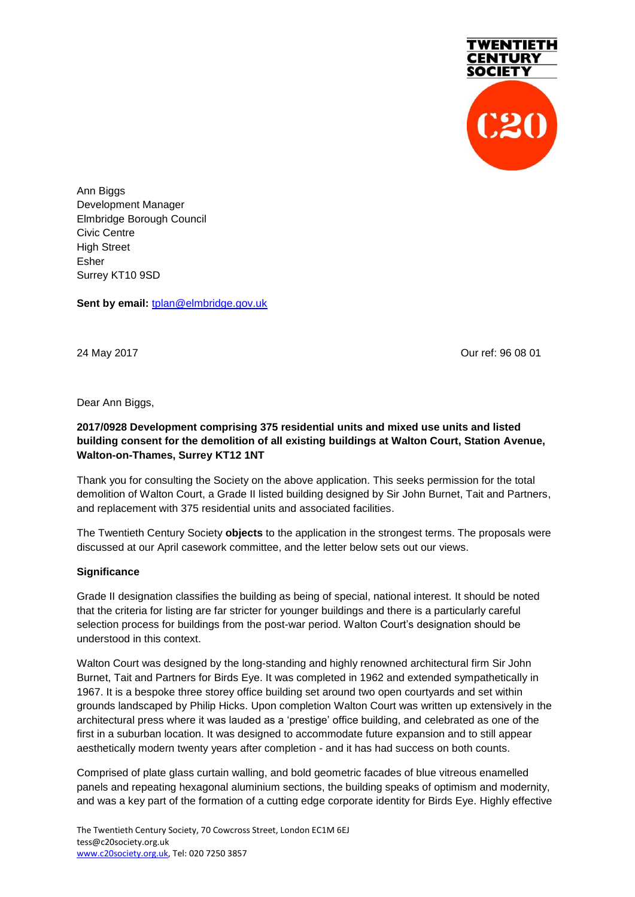

Ann Biggs Development Manager Elmbridge Borough Council Civic Centre High Street Esher Surrey KT10 9SD

**Sent by email:** [tplan@elmbridge.gov.uk](mailto:tplan@elmbridge.gov.uk)

24 May 2017 Our ref: 96 08 01

Dear Ann Biggs,

# **2017/0928 Development comprising 375 residential units and mixed use units and listed building consent for the demolition of all existing buildings at Walton Court, Station Avenue, Walton-on-Thames, Surrey KT12 1NT**

Thank you for consulting the Society on the above application. This seeks permission for the total demolition of Walton Court, a Grade II listed building designed by Sir John Burnet, Tait and Partners, and replacement with 375 residential units and associated facilities.

The Twentieth Century Society **objects** to the application in the strongest terms. The proposals were discussed at our April casework committee, and the letter below sets out our views.

### **Significance**

Grade II designation classifies the building as being of special, national interest. It should be noted that the criteria for listing are far stricter for younger buildings and there is a particularly careful selection process for buildings from the post-war period. Walton Court's designation should be understood in this context.

Walton Court was designed by the long-standing and highly renowned architectural firm Sir John Burnet, Tait and Partners for Birds Eye. It was completed in 1962 and extended sympathetically in 1967. It is a bespoke three storey office building set around two open courtyards and set within grounds landscaped by Philip Hicks. Upon completion Walton Court was written up extensively in the architectural press where it was lauded as a 'prestige' office building, and celebrated as one of the first in a suburban location. It was designed to accommodate future expansion and to still appear aesthetically modern twenty years after completion - and it has had success on both counts.

Comprised of plate glass curtain walling, and bold geometric facades of blue vitreous enamelled panels and repeating hexagonal aluminium sections, the building speaks of optimism and modernity, and was a key part of the formation of a cutting edge corporate identity for Birds Eye. Highly effective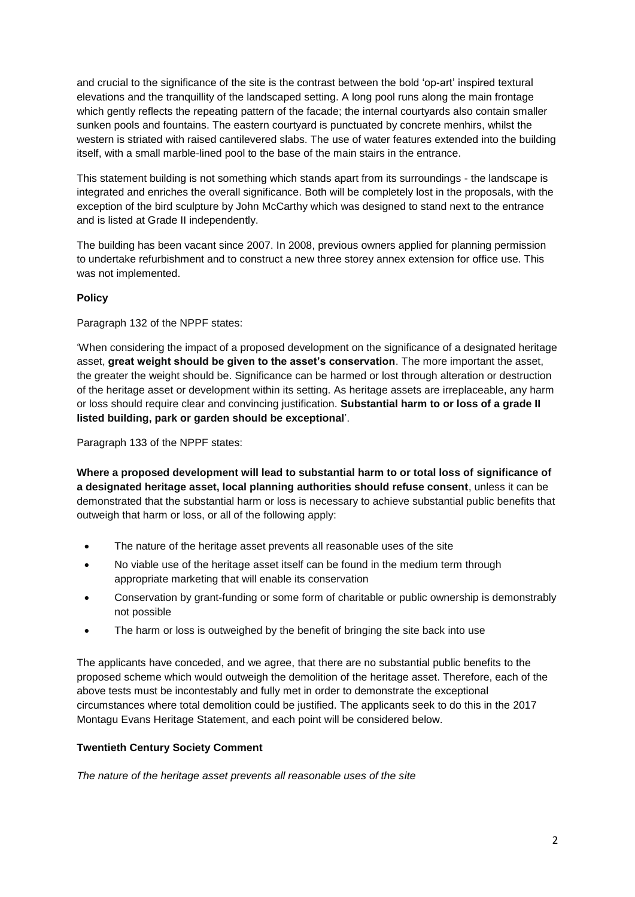and crucial to the significance of the site is the contrast between the bold 'op-art' inspired textural elevations and the tranquillity of the landscaped setting. A long pool runs along the main frontage which gently reflects the repeating pattern of the facade; the internal courtyards also contain smaller sunken pools and fountains. The eastern courtyard is punctuated by concrete menhirs, whilst the western is striated with raised cantilevered slabs. The use of water features extended into the building itself, with a small marble-lined pool to the base of the main stairs in the entrance.

This statement building is not something which stands apart from its surroundings - the landscape is integrated and enriches the overall significance. Both will be completely lost in the proposals, with the exception of the bird sculpture by John McCarthy which was designed to stand next to the entrance and is listed at Grade II independently.

The building has been vacant since 2007. In 2008, previous owners applied for planning permission to undertake refurbishment and to construct a new three storey annex extension for office use. This was not implemented.

# **Policy**

Paragraph 132 of the NPPF states:

'When considering the impact of a proposed development on the significance of a designated heritage asset, **great weight should be given to the asset's conservation**. The more important the asset, the greater the weight should be. Significance can be harmed or lost through alteration or destruction of the heritage asset or development within its setting. As heritage assets are irreplaceable, any harm or loss should require clear and convincing justification. **Substantial harm to or loss of a grade II listed building, park or garden should be exceptional**'.

Paragraph 133 of the NPPF states:

**Where a proposed development will lead to substantial harm to or total loss of significance of a designated heritage asset, local planning authorities should refuse consent**, unless it can be demonstrated that the substantial harm or loss is necessary to achieve substantial public benefits that outweigh that harm or loss, or all of the following apply:

- The nature of the heritage asset prevents all reasonable uses of the site
- No viable use of the heritage asset itself can be found in the medium term through appropriate marketing that will enable its conservation
- Conservation by grant-funding or some form of charitable or public ownership is demonstrably not possible
- The harm or loss is outweighed by the benefit of bringing the site back into use

The applicants have conceded, and we agree, that there are no substantial public benefits to the proposed scheme which would outweigh the demolition of the heritage asset. Therefore, each of the above tests must be incontestably and fully met in order to demonstrate the exceptional circumstances where total demolition could be justified. The applicants seek to do this in the 2017 Montagu Evans Heritage Statement, and each point will be considered below.

# **Twentieth Century Society Comment**

*The nature of the heritage asset prevents all reasonable uses of the site*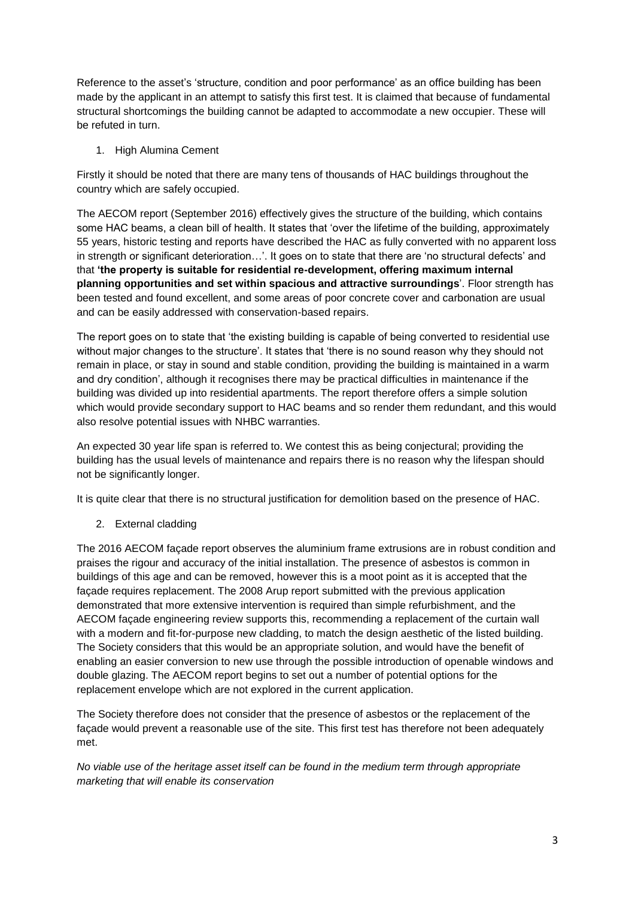Reference to the asset's 'structure, condition and poor performance' as an office building has been made by the applicant in an attempt to satisfy this first test. It is claimed that because of fundamental structural shortcomings the building cannot be adapted to accommodate a new occupier. These will be refuted in turn.

1. High Alumina Cement

Firstly it should be noted that there are many tens of thousands of HAC buildings throughout the country which are safely occupied.

The AECOM report (September 2016) effectively gives the structure of the building, which contains some HAC beams, a clean bill of health. It states that 'over the lifetime of the building, approximately 55 years, historic testing and reports have described the HAC as fully converted with no apparent loss in strength or significant deterioration…'. It goes on to state that there are 'no structural defects' and that **'the property is suitable for residential re-development, offering maximum internal planning opportunities and set within spacious and attractive surroundings**'. Floor strength has been tested and found excellent, and some areas of poor concrete cover and carbonation are usual and can be easily addressed with conservation-based repairs.

The report goes on to state that 'the existing building is capable of being converted to residential use without major changes to the structure'. It states that 'there is no sound reason why they should not remain in place, or stay in sound and stable condition, providing the building is maintained in a warm and dry condition', although it recognises there may be practical difficulties in maintenance if the building was divided up into residential apartments. The report therefore offers a simple solution which would provide secondary support to HAC beams and so render them redundant, and this would also resolve potential issues with NHBC warranties.

An expected 30 year life span is referred to. We contest this as being conjectural; providing the building has the usual levels of maintenance and repairs there is no reason why the lifespan should not be significantly longer.

It is quite clear that there is no structural justification for demolition based on the presence of HAC.

2. External cladding

The 2016 AECOM façade report observes the aluminium frame extrusions are in robust condition and praises the rigour and accuracy of the initial installation. The presence of asbestos is common in buildings of this age and can be removed, however this is a moot point as it is accepted that the façade requires replacement. The 2008 Arup report submitted with the previous application demonstrated that more extensive intervention is required than simple refurbishment, and the AECOM façade engineering review supports this, recommending a replacement of the curtain wall with a modern and fit-for-purpose new cladding, to match the design aesthetic of the listed building. The Society considers that this would be an appropriate solution, and would have the benefit of enabling an easier conversion to new use through the possible introduction of openable windows and double glazing. The AECOM report begins to set out a number of potential options for the replacement envelope which are not explored in the current application.

The Society therefore does not consider that the presence of asbestos or the replacement of the façade would prevent a reasonable use of the site. This first test has therefore not been adequately met.

*No viable use of the heritage asset itself can be found in the medium term through appropriate marketing that will enable its conservation*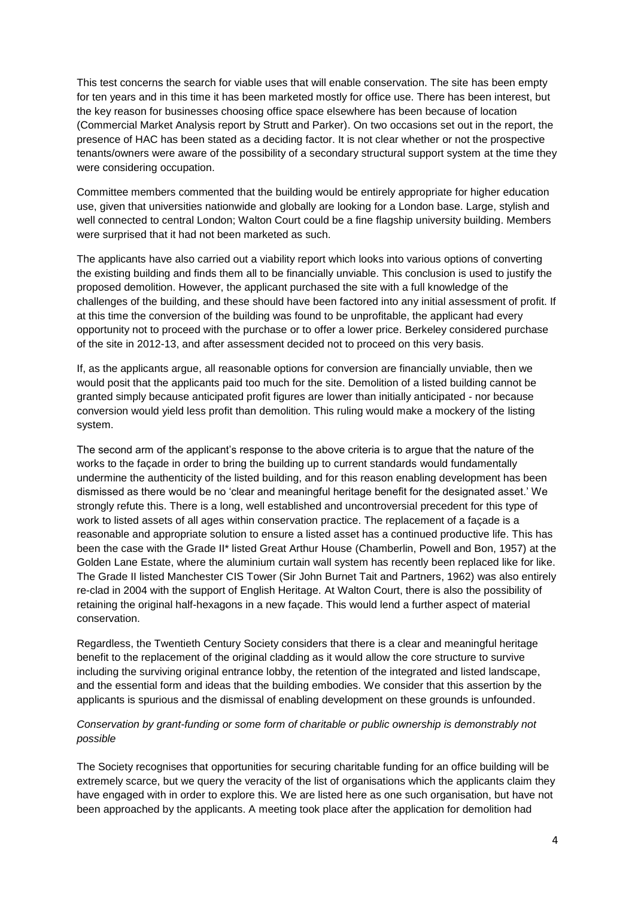This test concerns the search for viable uses that will enable conservation. The site has been empty for ten years and in this time it has been marketed mostly for office use. There has been interest, but the key reason for businesses choosing office space elsewhere has been because of location (Commercial Market Analysis report by Strutt and Parker). On two occasions set out in the report, the presence of HAC has been stated as a deciding factor. It is not clear whether or not the prospective tenants/owners were aware of the possibility of a secondary structural support system at the time they were considering occupation.

Committee members commented that the building would be entirely appropriate for higher education use, given that universities nationwide and globally are looking for a London base. Large, stylish and well connected to central London; Walton Court could be a fine flagship university building. Members were surprised that it had not been marketed as such.

The applicants have also carried out a viability report which looks into various options of converting the existing building and finds them all to be financially unviable. This conclusion is used to justify the proposed demolition. However, the applicant purchased the site with a full knowledge of the challenges of the building, and these should have been factored into any initial assessment of profit. If at this time the conversion of the building was found to be unprofitable, the applicant had every opportunity not to proceed with the purchase or to offer a lower price. Berkeley considered purchase of the site in 2012-13, and after assessment decided not to proceed on this very basis.

If, as the applicants argue, all reasonable options for conversion are financially unviable, then we would posit that the applicants paid too much for the site. Demolition of a listed building cannot be granted simply because anticipated profit figures are lower than initially anticipated - nor because conversion would yield less profit than demolition. This ruling would make a mockery of the listing system.

The second arm of the applicant's response to the above criteria is to argue that the nature of the works to the façade in order to bring the building up to current standards would fundamentally undermine the authenticity of the listed building, and for this reason enabling development has been dismissed as there would be no 'clear and meaningful heritage benefit for the designated asset.' We strongly refute this. There is a long, well established and uncontroversial precedent for this type of work to listed assets of all ages within conservation practice. The replacement of a façade is a reasonable and appropriate solution to ensure a listed asset has a continued productive life. This has been the case with the Grade II\* listed Great Arthur House (Chamberlin, Powell and Bon, 1957) at the Golden Lane Estate, where the aluminium curtain wall system has recently been replaced like for like. The Grade II listed Manchester CIS Tower (Sir John Burnet Tait and Partners, 1962) was also entirely re-clad in 2004 with the support of English Heritage. At Walton Court, there is also the possibility of retaining the original half-hexagons in a new façade. This would lend a further aspect of material conservation.

Regardless, the Twentieth Century Society considers that there is a clear and meaningful heritage benefit to the replacement of the original cladding as it would allow the core structure to survive including the surviving original entrance lobby, the retention of the integrated and listed landscape, and the essential form and ideas that the building embodies. We consider that this assertion by the applicants is spurious and the dismissal of enabling development on these grounds is unfounded.

### *Conservation by grant-funding or some form of charitable or public ownership is demonstrably not possible*

The Society recognises that opportunities for securing charitable funding for an office building will be extremely scarce, but we query the veracity of the list of organisations which the applicants claim they have engaged with in order to explore this. We are listed here as one such organisation, but have not been approached by the applicants. A meeting took place after the application for demolition had